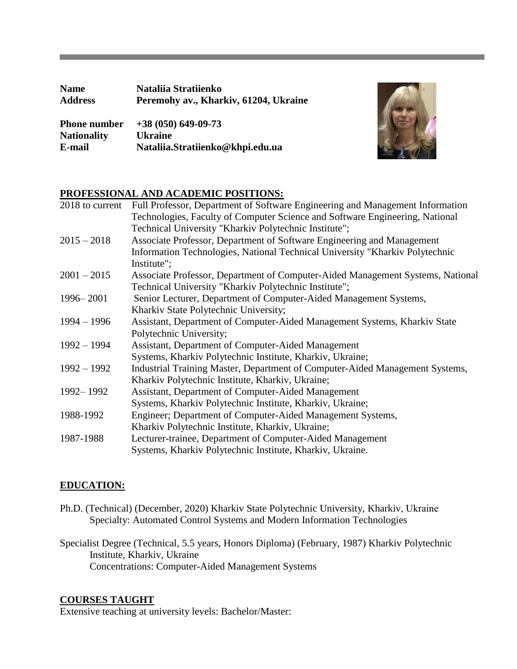| <b>Name</b>         | Nataliia Stratiienko                  |
|---------------------|---------------------------------------|
| <b>Address</b>      | Peremohy av., Kharkiv, 61204, Ukraine |
| <b>Phone number</b> | $+38(050)$ 649-09-73                  |
| <b>Nationality</b>  | <b>Ukraine</b>                        |
| E-mail              | Nataliia.Stratiienko@khpi.edu.ua      |



# **PROFESSIONAL AND ACADEMIC POSITIONS:**

| 2018 to current | Full Professor, Department of Software Engineering and Management Information  |
|-----------------|--------------------------------------------------------------------------------|
|                 | Technologies, Faculty of Computer Science and Software Engineering, National   |
|                 | Technical University "Kharkiv Polytechnic Institute";                          |
| $2015 - 2018$   | Associate Professor, Department of Software Engineering and Management         |
|                 | Information Technologies, National Technical University "Kharkiv Polytechnic   |
|                 | Institute";                                                                    |
| $2001 - 2015$   | Associate Professor, Department of Computer-Aided Management Systems, National |
|                 | Technical University "Kharkiv Polytechnic Institute";                          |
| 1996 - 2001     | Senior Lecturer, Department of Computer-Aided Management Systems,              |
|                 | Kharkiv State Polytechnic University;                                          |
| $1994 - 1996$   | Assistant, Department of Computer-Aided Management Systems, Kharkiv State      |
|                 | Polytechnic University;                                                        |
| $1992 - 1994$   | Assistant, Department of Computer-Aided Management                             |
|                 | Systems, Kharkiv Polytechnic Institute, Kharkiv, Ukraine;                      |
| $1992 - 1992$   | Industrial Training Master, Department of Computer-Aided Management Systems,   |
|                 | Kharkiv Polytechnic Institute, Kharkiv, Ukraine;                               |
| 1992 - 1992     | Assistant, Department of Computer-Aided Management                             |
|                 | Systems, Kharkiv Polytechnic Institute, Kharkiv, Ukraine;                      |
| 1988-1992       | Engineer; Department of Computer-Aided Management Systems,                     |
|                 | Kharkiv Polytechnic Institute, Kharkiv, Ukraine;                               |
| 1987-1988       | Lecturer-trainee, Department of Computer-Aided Management                      |
|                 | Systems, Kharkiv Polytechnic Institute, Kharkiv, Ukraine.                      |

### **EDUCATION:**

Ph.D. (Technical) (December, 2020) Kharkiv State Polytechnic University, Kharkiv, Ukraine  Specialty: Automated Control Systems and Modern Information Technologies

Specialist Degree (Technical, 5.5 years, Honors Diploma) (February, 1987) Kharkiv Polytechnic Institute, Kharkiv, Ukraine Concentrations: Computer-Aided Management Systems

### **COURSES TAUGHT**

Extensive teaching at university levels: Bachelor/Master: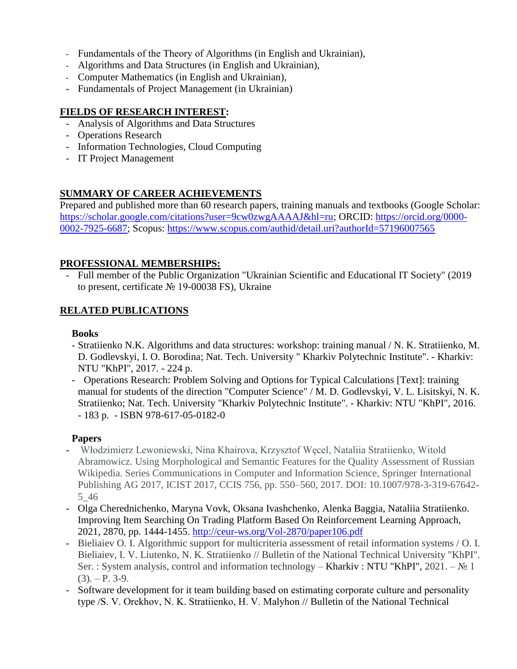- Fundаmentаls of the Theory of Algorithms (in English and Ukrainian),
- Algorithms and Data Structures (in English and Ukrainian),
- Computer Mathematics (in English and Ukrainian),
- Fundamentals of Project Management (in Ukrainian)

# **FIELDS OF RESEARCH INTEREST:**

- Analysis of Algorithms and Data Structures
- Operations Research
- Information Technologies, Cloud Computing
- IT Project Management

# **SUMMARY OF CAREER ACHIEVEMENTS**

Prepared and published more than 60 research papers, training manuals and textbooks (Google Scholar: [https://scholar.google.com/citations?user=9cw0zwgAAAAJ&hl=ru;](https://scholar.google.com/citations?user=9cw0zwgAAAAJ&hl=ru) ORCID: [https://orcid.org/0000-](https://orcid.org/0000-0002-7925-6687) [0002-7925-6687;](https://orcid.org/0000-0002-7925-6687) Scopus:<https://www.scopus.com/authid/detail.uri?authorId=57196007565>

## **PROFESSIONAL MEMBERSHIPS:**

- Full member of the Public Organization "Ukrainian Scientific and Educational IT Society" (2019 to present, certificate № 19-00038 FS), Ukraine

## **RELATED PUBLICATIONS**

### **Books**

- Stratiienko N.K. Algorithms and data structures: workshop: training manual / N. K. Stratiienko, M. D. Godlevskyi, I. O. Borodina; Nat. Tech. University " Kharkiv Polytechnic Institute". - Kharkiv: NTU "KhPI", 2017. - 224 p.
- Operations Research: Problem Solving and Options for Typical Calculations [Text]: training manual for students of the direction "Computer Science" / M. D. Godlevskyi, V. L. Lisitskyi, N. K. Stratiienko; Nat. Tech. University "Kharkiv Polytechnic Institute". - Kharkiv: NTU "KhPI", 2016. - 183 p. - ISBN 978-617-05-0182-0

## **Papers**

- Włodzimierz Lewoniewski, Nina Khairova, Krzysztof Węcel, Nataliia Stratiienko, Witold Abramowicz. Using Morphological and Semantic Features for the Quality Assessment of Russian Wikipedia. Series Communications in Computer and Information Science, Springer International Publishing AG 2017, ICIST 2017, CCIS 756, pp. 550–560, 2017. DOI: 10.1007/978-3-319-67642- 5\_46
- Olga Cherednichenko, Maryna Vovk, Oksana Ivashchenko, Alenka Baggia, Nataliia Stratiienko. Improving Item Searching On Trading Platform Based On Reinforcement Learning Approach, 2021, 2870, pp. 1444-1455. <http://ceur-ws.org/Vol-2870/paper106.pdf>
- Bieliaiev O. I. Algorithmic support for multicriteria assessment of retail information systems / O. I. Bieliaiev, I. V. Liutenko, N. K. Stratiienko // Bulletin of the National Technical University "KhPI". Ser. : System analysis, control and information technology – Kharkiv : NTU "KhPI", 2021. – № 1  $(3)$ . – P. 3-9.
- Software development for it team building based on estimating corporate сulture and personality type /S. V. Orekhov, N. K. Stratiienko, H. V. Мalyhon // Bulletin of the National Technical